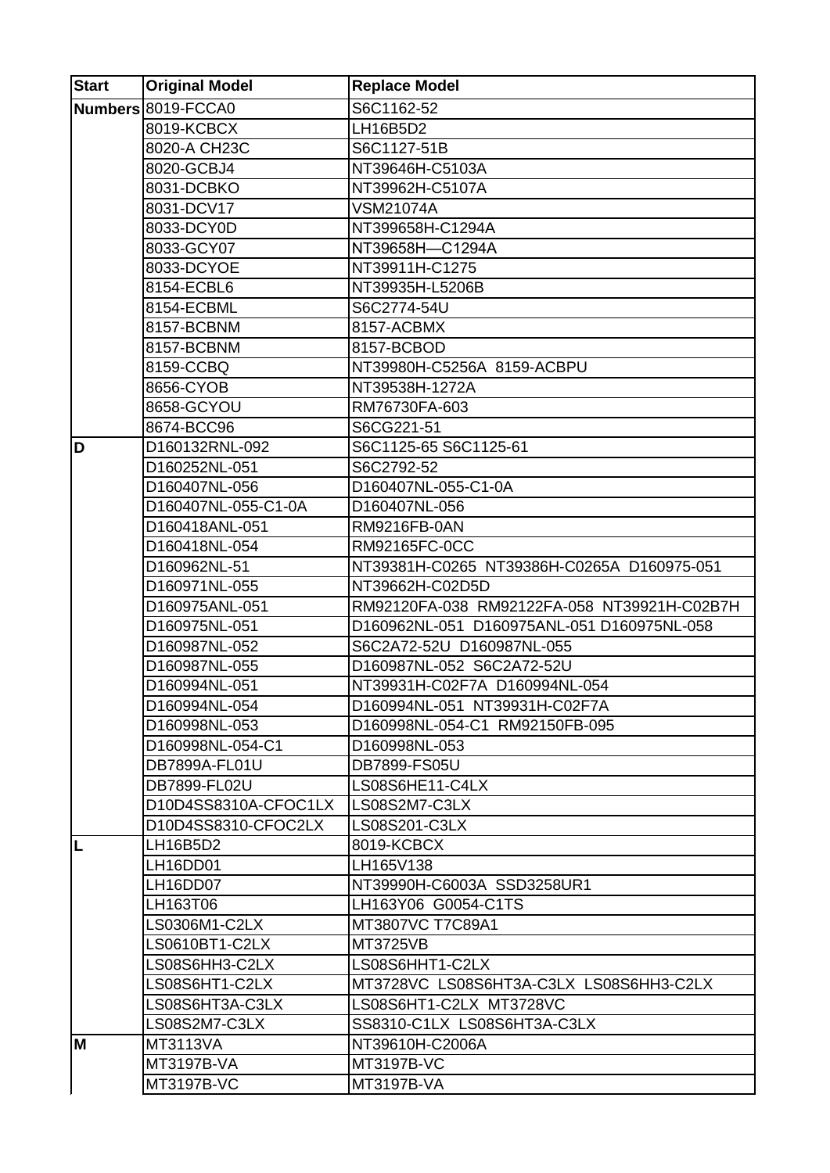| <b>Start</b> | <b>Original Model</b> | <b>Replace Model</b>                        |
|--------------|-----------------------|---------------------------------------------|
|              | Numbers 8019-FCCA0    | S6C1162-52                                  |
|              | 8019-KCBCX            | LH16B5D2                                    |
|              | 8020-A CH23C          | S6C1127-51B                                 |
|              | 8020-GCBJ4            | NT39646H-C5103A                             |
|              | 8031-DCBKO            | NT39962H-C5107A                             |
|              | 8031-DCV17            | <b>VSM21074A</b>                            |
|              | 8033-DCY0D            | NT399658H-C1294A                            |
|              | 8033-GCY07            | NT39658H-C1294A                             |
|              | 8033-DCYOE            | NT39911H-C1275                              |
|              | 8154-ECBL6            | NT39935H-L5206B                             |
|              | 8154-ECBML            | S6C2774-54U                                 |
|              | 8157-BCBNM            | 8157-ACBMX                                  |
|              | 8157-BCBNM            | 8157-BCBOD                                  |
|              | 8159-CCBQ             | NT39980H-C5256A 8159-ACBPU                  |
|              | 8656-CYOB             | NT39538H-1272A                              |
|              | 8658-GCYOU            | RM76730FA-603                               |
|              | 8674-BCC96            | S6CG221-51                                  |
| D            | D160132RNL-092        | S6C1125-65 S6C1125-61                       |
|              | D160252NL-051         | S6C2792-52                                  |
|              | D160407NL-056         | D160407NL-055-C1-0A                         |
|              | D160407NL-055-C1-0A   | D160407NL-056                               |
|              | D160418ANL-051        | <b>RM9216FB-0AN</b>                         |
|              | D160418NL-054         | RM92165FC-0CC                               |
|              | D160962NL-51          | NT39381H-C0265 NT39386H-C0265A D160975-051  |
|              | D160971NL-055         | NT39662H-C02D5D                             |
|              | D160975ANL-051        | RM92120FA-038 RM92122FA-058 NT39921H-C02B7H |
|              | D160975NL-051         | D160962NL-051 D160975ANL-051 D160975NL-058  |
|              | D160987NL-052         | S6C2A72-52U D160987NL-055                   |
|              | D160987NL-055         | D160987NL-052 S6C2A72-52U                   |
|              | D160994NL-051         | NT39931H-C02F7A D160994NL-054               |
|              | D160994NL-054         | D160994NL-051 NT39931H-C02F7A               |
|              | D160998NL-053         | D160998NL-054-C1 RM92150FB-095              |
|              | D160998NL-054-C1      | D160998NL-053                               |
|              | DB7899A-FL01U         | DB7899-FS05U                                |
|              | DB7899-FL02U          | LS08S6HE11-C4LX                             |
|              | D10D4SS8310A-CFOC1LX  | LS08S2M7-C3LX                               |
|              | D10D4SS8310-CFOC2LX   | LS08S201-C3LX                               |
| L            | LH16B5D2              | 8019-KCBCX                                  |
|              | LH16DD01              | LH165V138                                   |
|              | LH16DD07              | NT39990H-C6003A SSD3258UR1                  |
|              | LH163T06              | LH163Y06 G0054-C1TS                         |
|              | LS0306M1-C2LX         | MT3807VC T7C89A1                            |
|              | LS0610BT1-C2LX        | MT3725VB                                    |
|              | LS08S6HH3-C2LX        | LS08S6HHT1-C2LX                             |
|              | LS08S6HT1-C2LX        | MT3728VC LS08S6HT3A-C3LX LS08S6HH3-C2LX     |
|              | LS08S6HT3A-C3LX       | LS08S6HT1-C2LX MT3728VC                     |
|              | LS08S2M7-C3LX         | SS8310-C1LX LS08S6HT3A-C3LX                 |
| M            | <b>MT3113VA</b>       | NT39610H-C2006A                             |
|              | <b>MT3197B-VA</b>     | MT3197B-VC                                  |
|              | <b>MT3197B-VC</b>     | MT3197B-VA                                  |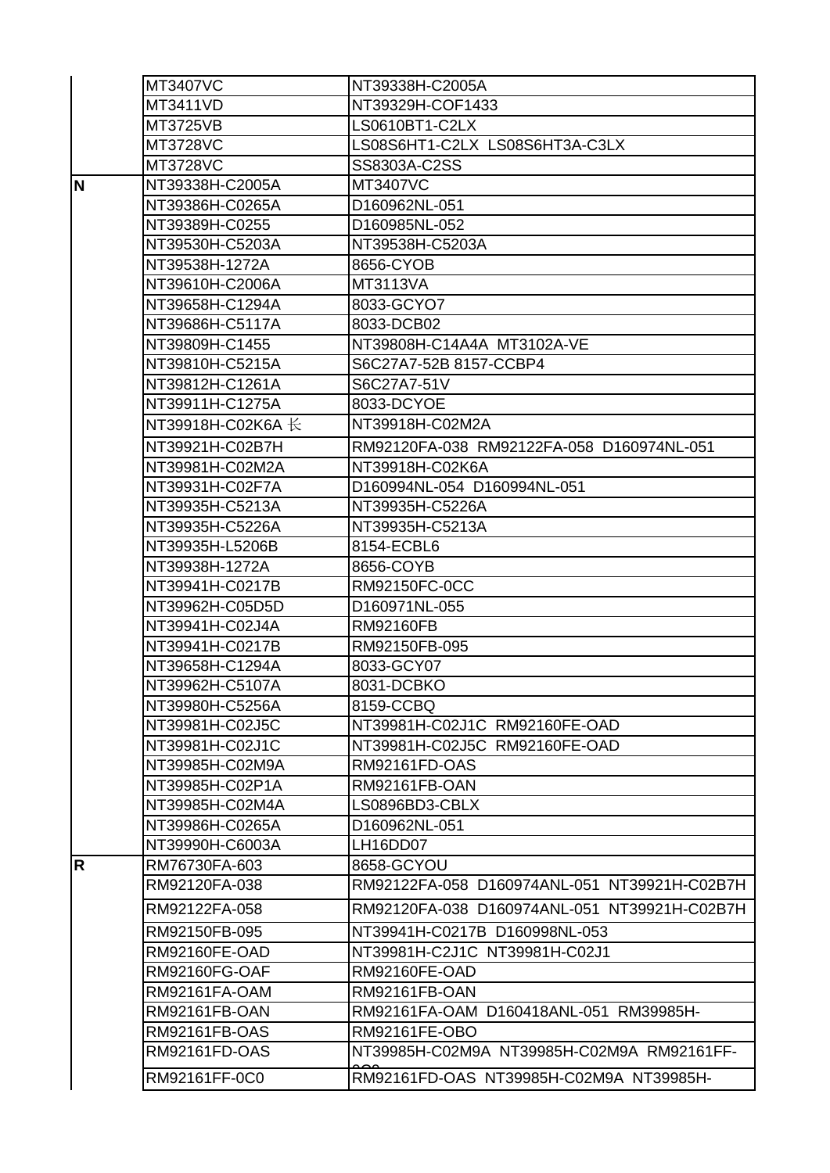|    | MT3407VC                       | NT39338H-C2005A                                         |
|----|--------------------------------|---------------------------------------------------------|
|    | MT3411VD                       | NT39329H-COF1433                                        |
|    | MT3725VB                       | LS0610BT1-C2LX                                          |
|    | MT3728VC                       | LS08S6HT1-C2LX LS08S6HT3A-C3LX                          |
|    | MT3728VC                       | SS8303A-C2SS                                            |
| N  | NT39338H-C2005A                | MT3407VC                                                |
|    | NT39386H-C0265A                | D160962NL-051                                           |
|    | NT39389H-C0255                 | D160985NL-052                                           |
|    | NT39530H-C5203A                | NT39538H-C5203A                                         |
|    | NT39538H-1272A                 | 8656-CYOB                                               |
|    | NT39610H-C2006A                | MT3113VA                                                |
|    | NT39658H-C1294A                | 8033-GCYO7                                              |
|    | NT39686H-C5117A                | 8033-DCB02                                              |
|    | NT39809H-C1455                 | NT39808H-C14A4A MT3102A-VE                              |
|    | NT39810H-C5215A                | S6C27A7-52B 8157-CCBP4                                  |
|    | NT39812H-C1261A                | S6C27A7-51V                                             |
|    | NT39911H-C1275A                | 8033-DCYOE                                              |
|    | NT39918H-C02K6A 长              | NT39918H-C02M2A                                         |
|    | NT39921H-C02B7H                | RM92120FA-038 RM92122FA-058 D160974NL-051               |
|    | NT39981H-C02M2A                | NT39918H-C02K6A                                         |
|    | NT39931H-C02F7A                | D160994NL-054 D160994NL-051                             |
|    | NT39935H-C5213A                | NT39935H-C5226A                                         |
|    | NT39935H-C5226A                | NT39935H-C5213A                                         |
|    | NT39935H-L5206B                | 8154-ECBL6                                              |
|    | NT39938H-1272A                 | 8656-COYB                                               |
|    | NT39941H-C0217B                | RM92150FC-0CC                                           |
|    | NT39962H-C05D5D                | D160971NL-055                                           |
|    | NT39941H-C02J4A                | RM92160FB                                               |
|    | NT39941H-C0217B                | RM92150FB-095                                           |
|    | NT39658H-C1294A                | 8033-GCY07                                              |
|    | NT39962H-C5107A                | 8031-DCBKO                                              |
|    | NT39980H-C5256A                | 8159-CCBQ                                               |
|    | NT39981H-C02J5C                | NT39981H-C02J1C RM92160FE-OAD                           |
|    | NT39981H-C02J1C                | NT39981H-C02J5C RM92160FE-OAD                           |
|    | NT39985H-C02M9A                | <b>RM92161FD-OAS</b>                                    |
|    | NT39985H-C02P1A                | RM92161FB-OAN                                           |
|    | NT39985H-C02M4A                | LS0896BD3-CBLX                                          |
|    | NT39986H-C0265A                | D160962NL-051                                           |
|    | NT39990H-C6003A                | LH16DD07                                                |
| R. | RM76730FA-603                  | 8658-GCYOU                                              |
|    | RM92120FA-038                  | RM92122FA-058 D160974ANL-051 NT39921H-C02B7H            |
|    | RM92122FA-058                  | RM92120FA-038 D160974ANL-051 NT39921H-C02B7H            |
|    | RM92150FB-095                  | NT39941H-C0217B D160998NL-053                           |
|    | <b>RM92160FE-OAD</b>           | NT39981H-C2J1C NT39981H-C02J1                           |
|    | <b>RM92160FG-OAF</b>           | <b>RM92160FE-OAD</b>                                    |
|    | RM92161FA-OAM                  | <b>RM92161FB-OAN</b>                                    |
|    |                                |                                                         |
|    | RM92161FB-OAN<br>RM92161FB-OAS | RM92161FA-OAM D160418ANL-051 RM39985H-<br>RM92161FE-OBO |
|    | RM92161FD-OAS                  | NT39985H-C02M9A NT39985H-C02M9A RM92161FF-              |
|    |                                |                                                         |
|    | RM92161FF-0C0                  | RM92161FD-OAS NT39985H-C02M9A NT39985H-                 |